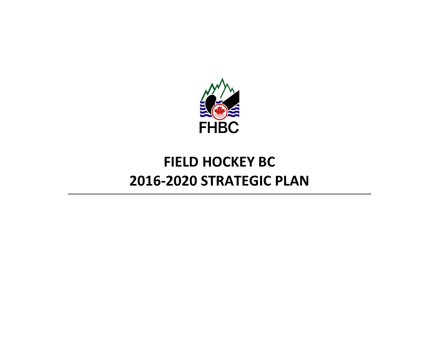

# **FIELD HOCKEY BC 2016-2020 STRATEGIC PLAN**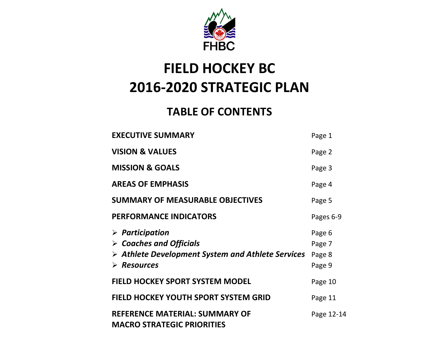

# **FIELD HOCKEY BC 2016-2020 STRATEGIC PLAN**

### **TABLE OF CONTENTS**

| <b>EXECUTIVE SUMMARY</b>                                                                                                                                                   | Page 1                               |
|----------------------------------------------------------------------------------------------------------------------------------------------------------------------------|--------------------------------------|
| <b>VISION &amp; VALUES</b>                                                                                                                                                 | Page 2                               |
| <b>MISSION &amp; GOALS</b>                                                                                                                                                 | Page 3                               |
| <b>AREAS OF EMPHASIS</b>                                                                                                                                                   | Page 4                               |
| <b>SUMMARY OF MEASURABLE OBJECTIVES</b>                                                                                                                                    | Page 5                               |
| <b>PERFORMANCE INDICATORS</b>                                                                                                                                              | Pages 6-9                            |
| $\triangleright$ Participation<br>$\triangleright$ Coaches and Officials<br>$\triangleright$ Athlete Development System and Athlete Services<br>$\triangleright$ Resources | Page 6<br>Page 7<br>Page 8<br>Page 9 |
| <b>FIELD HOCKEY SPORT SYSTEM MODEL</b>                                                                                                                                     | Page 10                              |
| <b>FIELD HOCKEY YOUTH SPORT SYSTEM GRID</b>                                                                                                                                | Page 11                              |
| <b>REFERENCE MATERIAL: SUMMARY OF</b><br><b>MACRO STRATEGIC PRIORITIES</b>                                                                                                 | Page 12-14                           |
|                                                                                                                                                                            |                                      |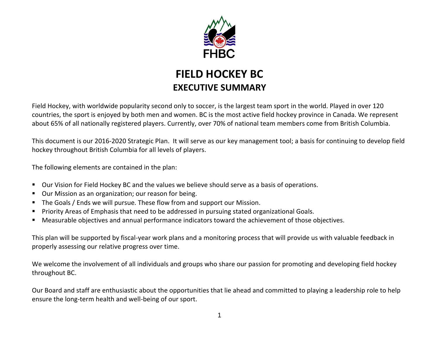

### **FIELD HOCKEY BC EXECUTIVE SUMMARY**

Field Hockey, with worldwide popularity second only to soccer, is the largest team sport in the world. Played in over 120 countries, the sport is enjoyed by both men and women. BC is the most active field hockey province in Canada. We represent about 65% of all nationally registered players. Currently, over 70% of national team members come from British Columbia.

This document is our 2016-2020 Strategic Plan. It will serve as our key management tool; a basis for continuing to develop field hockey throughout British Columbia for all levels of players.

The following elements are contained in the plan:

- Our Vision for Field Hockey BC and the values we believe should serve as a basis of operations.
- Our Mission as an organization; our reason for being.
- The Goals / Ends we will pursue. These flow from and support our Mission.
- Priority Areas of Emphasis that need to be addressed in pursuing stated organizational Goals.
- Measurable objectives and annual performance indicators toward the achievement of those objectives.

This plan will be supported by fiscal-year work plans and a monitoring process that will provide us with valuable feedback in properly assessing our relative progress over time.

We welcome the involvement of all individuals and groups who share our passion for promoting and developing field hockey throughout BC.

Our Board and staff are enthusiastic about the opportunities that lie ahead and committed to playing a leadership role to help ensure the long-term health and well-being of our sport.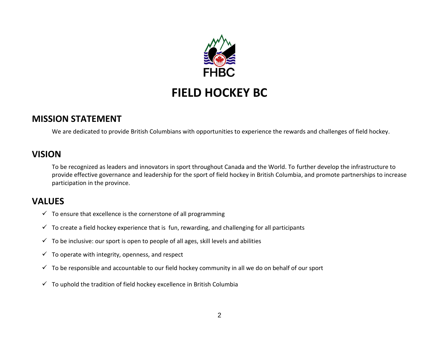

### **MISSION STATEMENT**

We are dedicated to provide British Columbians with opportunities to experience the rewards and challenges of field hockey.

#### **VISION**

To be recognized as leaders and innovators in sport throughout Canada and the World. To further develop the infrastructure to provide effective governance and leadership for the sport of field hockey in British Columbia, and promote partnerships to increase participation in the province.

### **VALUES**

- $\checkmark$  To ensure that excellence is the cornerstone of all programming
- $\checkmark$  To create a field hockey experience that is fun, rewarding, and challenging for all participants
- $\checkmark$  To be inclusive: our sport is open to people of all ages, skill levels and abilities
- $\checkmark$  To operate with integrity, openness, and respect
- $\checkmark$  To be responsible and accountable to our field hockey community in all we do on behalf of our sport
- $\checkmark$  To uphold the tradition of field hockey excellence in British Columbia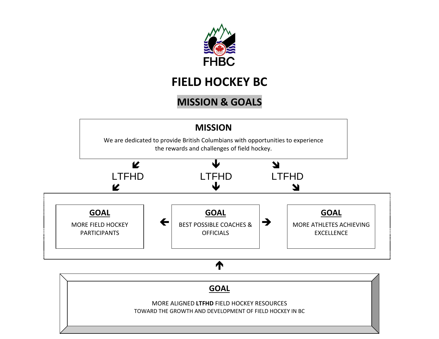

### **MISSION & GOALS**

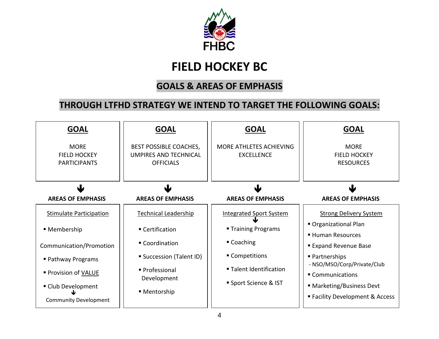

### **GOALS & AREAS OF EMPHASIS**

### **THROUGH LTFHD STRATEGY WE INTEND TO TARGET THE FOLLOWING GOALS:**

| <b>GOAL</b>                                               | <b>GOAL</b>                                                                | <b>GOAL</b>                                  | <b>GOAL</b>                                                  |
|-----------------------------------------------------------|----------------------------------------------------------------------------|----------------------------------------------|--------------------------------------------------------------|
| <b>MORE</b><br><b>FIELD HOCKEY</b><br><b>PARTICIPANTS</b> | BEST POSSIBLE COACHES,<br><b>UMPIRES AND TECHNICAL</b><br><b>OFFICIALS</b> | MORE ATHLETES ACHIEVING<br><b>EXCELLENCE</b> | <b>MORE</b><br><b>FIELD HOCKEY</b><br><b>RESOURCES</b>       |
| ψ                                                         | J                                                                          | W                                            |                                                              |
| <b>AREAS OF EMPHASIS</b>                                  | <b>AREAS OF EMPHASIS</b>                                                   | <b>AREAS OF EMPHASIS</b>                     | <b>AREAS OF EMPHASIS</b>                                     |
| <b>Stimulate Participation</b>                            | <b>Technical Leadership</b>                                                | <b>Integrated Sport System</b>               | <b>Strong Delivery System</b>                                |
| ■ Membership                                              | ■ Certification                                                            | ■ Training Programs                          | Organizational Plan                                          |
| Communication/Promotion                                   | ■ Coordination                                                             | ■ Coaching                                   | ■ Human Resources<br><b>Expand Revenue Base</b>              |
| ■ Pathway Programs                                        | ■ Succession (Talent ID)                                                   | ■ Competitions                               | ■ Partnerships                                               |
| ■ Provision of VALUE                                      | ■ Professional                                                             | ■ Talent Identification                      | - NSO/MSO/Corp/Private/Club<br>■ Communications              |
| ■ Club Development<br><b>Community Development</b>        | Development<br>■ Mentorship                                                | Sport Science & IST                          | ■ Marketing/Business Devt<br>■ Facility Development & Access |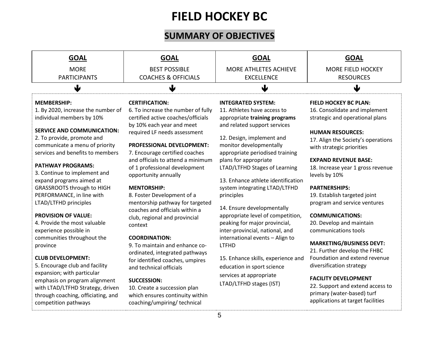### **SUMMARY OF OBJECTIVES**

| <b>GOAL</b>                                                                                                                                                   | <b>GOAL</b>                                                                                                   | <b>GOAL</b>                                                                                           | <b>GOAL</b>                                                                                                                        |
|---------------------------------------------------------------------------------------------------------------------------------------------------------------|---------------------------------------------------------------------------------------------------------------|-------------------------------------------------------------------------------------------------------|------------------------------------------------------------------------------------------------------------------------------------|
| <b>MORE</b>                                                                                                                                                   | <b>BEST POSSIBLE</b>                                                                                          | <b>MORE ATHLETES ACHIEVE</b>                                                                          | <b>MORE FIELD HOCKEY</b>                                                                                                           |
| <b>PARTICIPANTS</b>                                                                                                                                           | <b>COACHES &amp; OFFICIALS</b>                                                                                | <b>EXCELLENCE</b>                                                                                     | <b>RESOURCES</b>                                                                                                                   |
| ↓                                                                                                                                                             | ψ                                                                                                             | $\bigcup$                                                                                             | $\bigtriangledown$                                                                                                                 |
| <b>MEMBERSHIP:</b><br>1. By 2020, increase the number of                                                                                                      | <b>CERTIFICATION:</b><br>6. To increase the number of fully                                                   | <b>INTEGRATED SYSTEM:</b><br>11. Athletes have access to                                              | <b>FIELD HOCKEY BC PLAN:</b><br>16. Consolidate and implement                                                                      |
| individual members by 10%                                                                                                                                     | certified active coaches/officials<br>by 10% each year and meet                                               | appropriate training programs<br>and related support services                                         | strategic and operational plans                                                                                                    |
| <b>SERVICE AND COMMUNICATION:</b><br>2. To provide, promote and<br>communicate a menu of priority<br>services and benefits to members                         | required LF needs assessment<br>PROFESSIONAL DEVELOPMENT:<br>7. Encourage certified coaches                   | 12. Design, implement and<br>monitor developmentally<br>appropriate periodised training               | <b>HUMAN RESOURCES:</b><br>17. Align the Society's operations<br>with strategic priorities                                         |
| <b>PATHWAY PROGRAMS:</b><br>3. Continue to implement and<br>expand programs aimed at                                                                          | and officials to attend a minimum<br>of 1 professional development<br>opportunity annually                    | plans for appropriate<br>LTAD/LTFHD Stages of Learning<br>13. Enhance athlete identification          | <b>EXPAND REVENUE BASE:</b><br>18. Increase year 1 gross revenue<br>levels by 10%                                                  |
| <b>GRASSROOTS through to HIGH</b><br>PERFORMANCE, in line with<br>LTAD/LTFHD principles                                                                       | <b>MENTORSHIP:</b><br>8. Foster Development of a<br>mentorship pathway for targeted                           | system integrating LTAD/LTFHD<br>principles<br>14. Ensure developmentally                             | <b>PARTNERSHIPS:</b><br>19. Establish targeted joint<br>program and service ventures                                               |
| <b>PROVISION OF VALUE:</b><br>4. Provide the most valuable<br>experience possible in                                                                          | coaches and officials within a<br>club, regional and provincial<br>context                                    | appropriate level of competition,<br>peaking for major provincial,<br>inter-provincial, national, and | <b>COMMUNICATIONS:</b><br>20. Develop and maintain<br>communications tools                                                         |
| communities throughout the<br>province                                                                                                                        | <b>COORDINATION:</b><br>9. To maintain and enhance co-<br>ordinated, integrated pathways                      | international events - Align to<br><b>LTFHD</b>                                                       | <b>MARKETING/BUSINESS DEVT:</b><br>21. Further develop the FHBC                                                                    |
| <b>CLUB DEVELOPMENT:</b><br>5. Encourage club and facility                                                                                                    | for identified coaches, umpires<br>and technical officials                                                    | 15. Enhance skills, experience and<br>education in sport science                                      | Foundation and extend revenue<br>diversification strategy                                                                          |
| expansion; with particular<br>emphasis on program alignment<br>with LTAD/LTFHD Strategy, driven<br>through coaching, officiating, and<br>competition pathways | SUCCESSION:<br>10. Create a succession plan<br>which ensures continuity within<br>coaching/umpiring/technical | services at appropriate<br>LTAD/LTFHD stages (IST)                                                    | <b>FACILITY DEVELOPMENT</b><br>22. Support and extend access to<br>primary (water-based) turf<br>applications at target facilities |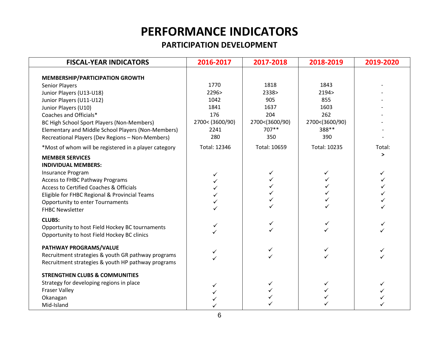### **PARTICIPATION DEVELOPMENT**

| <b>FISCAL-YEAR INDICATORS</b>                         | 2016-2017       | 2017-2018      | 2018-2019      | 2019-2020 |
|-------------------------------------------------------|-----------------|----------------|----------------|-----------|
| <b>MEMBERSHIP/PARTICIPATION GROWTH</b>                |                 |                |                |           |
| <b>Senior Players</b>                                 | 1770            | 1818           | 1843           |           |
| Junior Players (U13-U18)                              | 2296>           | 2338>          | 2194>          |           |
| Junior Players (U11-U12)                              | 1042            | 905            | 855            |           |
| Junior Players (U10)                                  | 1841            | 1637           | 1603           |           |
| Coaches and Officials*                                | 176             | 204            | 262            |           |
| BC High School Sport Players (Non-Members)            | 2700< (3600/90) | 2700<(3600/90) | 2700<(3600/90) |           |
| Elementary and Middle School Players (Non-Members)    | 2241            | 707**          | 388**          |           |
| Recreational Players (Dev Regions - Non-Members)      | 280             | 350            | 390            |           |
| *Most of whom will be registered in a player category | Total: 12346    | Total: 10659   | Total: 10235   | Total:    |
| <b>MEMBER SERVICES</b><br><b>INDIVIDUAL MEMBERS:</b>  |                 |                |                | >         |
| Insurance Program                                     | ✓               | ✓              | ✓              | ✓         |
| <b>Access to FHBC Pathway Programs</b>                |                 |                |                |           |
| Access to Certified Coaches & Officials               |                 |                |                |           |
| Eligible for FHBC Regional & Provincial Teams         |                 |                |                |           |
| <b>Opportunity to enter Tournaments</b>               |                 |                |                |           |
| <b>FHBC Newsletter</b>                                |                 |                |                |           |
| <b>CLUBS:</b>                                         |                 |                |                |           |
| Opportunity to host Field Hockey BC tournaments       |                 |                |                |           |
| Opportunity to host Field Hockey BC clinics           |                 |                |                |           |
| PATHWAY PROGRAMS/VALUE                                |                 |                |                |           |
| Recruitment strategies & youth GR pathway programs    |                 |                |                |           |
| Recruitment strategies & youth HP pathway programs    |                 |                |                |           |
| <b>STRENGTHEN CLUBS &amp; COMMUNITIES</b>             |                 |                |                |           |
| Strategy for developing regions in place              | ✓               |                | ✓              |           |
| <b>Fraser Valley</b>                                  |                 |                |                |           |
| Okanagan                                              |                 |                |                |           |
| Mid-Island                                            |                 |                |                |           |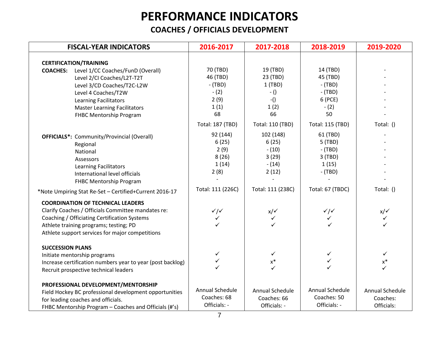### **COACHES / OFFICIALS DEVELOPMENT**

| <b>FISCAL-YEAR INDICATORS</b>                                                                                                                                                                                                                                                                         | 2016-2017                                                                                    | 2017-2018                                                                                             | 2018-2019                                                                                                | 2019-2020                                 |
|-------------------------------------------------------------------------------------------------------------------------------------------------------------------------------------------------------------------------------------------------------------------------------------------------------|----------------------------------------------------------------------------------------------|-------------------------------------------------------------------------------------------------------|----------------------------------------------------------------------------------------------------------|-------------------------------------------|
| <b>CERTIFICATION/TRAINING</b>                                                                                                                                                                                                                                                                         |                                                                                              |                                                                                                       |                                                                                                          |                                           |
| Level 1/CC Coaches/FunD (Overall)<br><b>COACHES:</b><br>Level 2/CI Coaches/L2T-T2T<br>Level 3/CD Coaches/T2C-L2W<br>Level 4 Coaches/T2W<br><b>Learning Facilitators</b><br><b>Master Learning Facilitators</b><br>FHBC Mentorship Program                                                             | 70 (TBD)<br>46 (TBD)<br>$-$ (TBD)<br>$-(2)$<br>2(9)<br>1(1)<br>68                            | 19 (TBD)<br>23 (TBD)<br>1(TBD)<br>$-()$<br>$-()$<br>1(2)<br>66                                        | 14 (TBD)<br>45 (TBD)<br>$-$ (TBD)<br>$-$ (TBD)<br>6 (PCE)<br>$-(2)$<br>50                                |                                           |
| <b>OFFICIALS*:</b> Community/Provincial (Overall)<br>Regional<br>National<br>Assessors<br><b>Learning Facilitators</b><br>International level officials<br><b>FHBC Mentorship Program</b>                                                                                                             | Total: 187 (TBD)<br>92 (144)<br>6(25)<br>2(9)<br>8(26)<br>1(14)<br>2(8)<br>Total: 111 (226C) | Total: 110 (TBD)<br>102 (148)<br>6(25)<br>$- (10)$<br>3(29)<br>$- (14)$<br>2(12)<br>Total: 111 (238C) | Total: 115 (TBD)<br>61 (TBD)<br>5 (TBD)<br>$-$ (TBD)<br>3(TBD)<br>1(15)<br>$-$ (TBD)<br>Total: 67 (TBDC) | Total: ()<br>Total: ()                    |
| *Note Umpiring Stat Re-Set - Certified+Current 2016-17<br><b>COORDINATION OF TECHNICAL LEADERS</b><br>Clarify Coaches / Officials Committee mandates re:<br>Coaching / Officiating Certification Systems<br>Athlete training programs; testing; PD<br>Athlete support services for major competitions | $\checkmark$<br>$\checkmark$                                                                 | $x/\checkmark$<br>$\checkmark$                                                                        | $\checkmark$<br>$\checkmark$                                                                             | $x/\checkmark$<br>$\checkmark$            |
| <b>SUCCESSION PLANS</b><br>Initiate mentorship programs<br>Increase certification numbers year to year (post backlog)<br>Recruit prospective technical leaders                                                                                                                                        | ✓                                                                                            | $\checkmark$<br>$\mathsf{x}^*$                                                                        |                                                                                                          | $\checkmark$<br>$\mathsf{x}^*$            |
| PROFESSIONAL DEVELOPMENT/MENTORSHIP<br>Field Hockey BC professional development opportunities<br>for leading coaches and officials.<br>FHBC Mentorship Program - Coaches and Officials (#'s)                                                                                                          | Annual Schedule<br>Coaches: 68<br>Officials: -                                               | Annual Schedule<br>Coaches: 66<br>Officials: -                                                        | Annual Schedule<br>Coaches: 50<br>Officials: -                                                           | Annual Schedule<br>Coaches:<br>Officials: |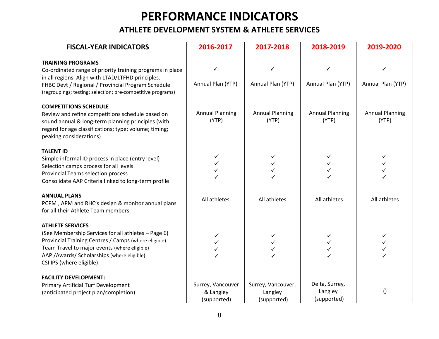#### **ATHLETE DEVELOPMENT SYSTEM & ATHLETE SERVICES**

| <b>FISCAL-YEAR INDICATORS</b>                                                                                                                                                                                                                                     | 2016-2017                                     | 2017-2018                                    | 2018-2019                                | 2019-2020                       |
|-------------------------------------------------------------------------------------------------------------------------------------------------------------------------------------------------------------------------------------------------------------------|-----------------------------------------------|----------------------------------------------|------------------------------------------|---------------------------------|
| <b>TRAINING PROGRAMS</b><br>Co-ordinated range of priority training programs in place<br>in all regions. Align with LTAD/LTFHD principles.<br>FHBC Devt / Regional / Provincial Program Schedule<br>(regroupings; testing; selection; pre-competitive programs)   | Annual Plan (YTP)                             | Annual Plan (YTP)                            | Annual Plan (YTP)                        | Annual Plan (YTP)               |
| <b>COMPETITIONS SCHEDULE</b><br>Review and refine competitions schedule based on<br>sound annual & long-term planning principles (with<br>regard for age classifications; type; volume; timing;<br>peaking considerations)                                        | <b>Annual Planning</b><br>(YTP)               | <b>Annual Planning</b><br>(YTP)              | <b>Annual Planning</b><br>(YTP)          | <b>Annual Planning</b><br>(YTP) |
| <b>TALENT ID</b><br>Simple informal ID process in place (entry level)<br>Selection camps process for all levels<br><b>Provincial Teams selection process</b><br>Consolidate AAP Criteria linked to long-term profile                                              | ✓                                             |                                              |                                          |                                 |
| <b>ANNUAL PLANS</b><br>PCPM, APM and RHC's design & monitor annual plans<br>for all their Athlete Team members                                                                                                                                                    | All athletes                                  | All athletes                                 | All athletes                             | All athletes                    |
| <b>ATHLETE SERVICES</b><br>(See Membership Services for all athletes - Page 6)<br>Provincial Training Centres / Camps (where eligible)<br>Team Travel to major events (where eligible)<br>AAP / Awards/ Scholarships (where eligible)<br>CSI IPS (where eligible) | ✓<br>✓                                        |                                              | ✓                                        |                                 |
| <b>FACILITY DEVELOPMENT:</b><br><b>Primary Artificial Turf Development</b><br>(anticipated project plan/completion)                                                                                                                                               | Surrey, Vancouver<br>& Langley<br>(supported) | Surrey, Vancouver,<br>Langley<br>(supported) | Delta, Surrey,<br>Langley<br>(supported) | $\left( \right)$                |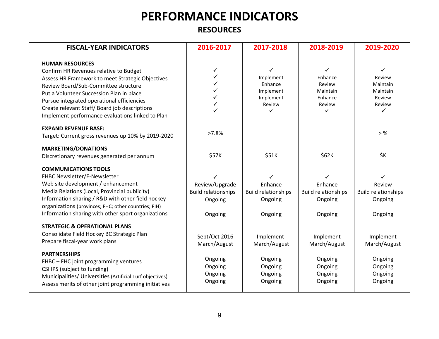**RESOURCES**

| <b>FISCAL-YEAR INDICATORS</b>                                                                                                                                                                                                                                                                                                                              | 2016-2017                                                               | 2017-2018                                                        | 2018-2019                                                        | 2019-2020                                                                  |
|------------------------------------------------------------------------------------------------------------------------------------------------------------------------------------------------------------------------------------------------------------------------------------------------------------------------------------------------------------|-------------------------------------------------------------------------|------------------------------------------------------------------|------------------------------------------------------------------|----------------------------------------------------------------------------|
| <b>HUMAN RESOURCES</b><br>Confirm HR Revenues relative to Budget<br>Assess HR Framework to meet Strategic Objectives<br>Review Board/Sub-Committee structure<br>Put a Volunteer Succession Plan in place<br>Pursue integrated operational efficiencies<br>Create relevant Staff/Board job descriptions<br>Implement performance evaluations linked to Plan | ✓<br>✓                                                                  | ✓<br>Implement<br>Enhance<br>Implement<br>Implement<br>Review    | ✓<br>Enhance<br>Review<br>Maintain<br>Enhance<br>Review<br>✓     | ✓<br>Review<br>Maintain<br>Maintain<br>Review<br>Review<br>✓               |
| <b>EXPAND REVENUE BASE:</b><br>Target: Current gross revenues up 10% by 2019-2020                                                                                                                                                                                                                                                                          | >7.8%                                                                   |                                                                  |                                                                  | $>$ %                                                                      |
| <b>MARKETING/DONATIONS</b><br>Discretionary revenues generated per annum                                                                                                                                                                                                                                                                                   | \$57K                                                                   | \$51K                                                            | \$62K                                                            | \$K                                                                        |
| <b>COMMUNICATIONS TOOLS</b><br>FHBC Newsletter/E-Newsletter<br>Web site development / enhancement<br>Media Relations (Local, Provincial publicity)<br>Information sharing / R&D with other field hockey<br>organizations (provinces; FHC; other countries; FIH)<br>Information sharing with other sport organizations                                      | ✓<br>Review/Upgrade<br><b>Build relationships</b><br>Ongoing<br>Ongoing | ✓<br>Enhance<br><b>Build relationships</b><br>Ongoing<br>Ongoing | ✓<br>Enhance<br><b>Build relationships</b><br>Ongoing<br>Ongoing | $\checkmark$<br>Review<br><b>Build relationships</b><br>Ongoing<br>Ongoing |
| <b>STRATEGIC &amp; OPERATIONAL PLANS</b><br>Consolidate Field Hockey BC Strategic Plan<br>Prepare fiscal-year work plans                                                                                                                                                                                                                                   | Sept/Oct 2016<br>March/August                                           | Implement<br>March/August                                        | Implement<br>March/August                                        | Implement<br>March/August                                                  |
| <b>PARTNERSHIPS</b><br>FHBC - FHC joint programming ventures<br>CSI IPS (subject to funding)<br>Municipalities/ Universities (Artificial Turf objectives)<br>Assess merits of other joint programming initiatives                                                                                                                                          | Ongoing<br>Ongoing<br>Ongoing<br>Ongoing                                | Ongoing<br>Ongoing<br>Ongoing<br>Ongoing                         | Ongoing<br>Ongoing<br>Ongoing<br>Ongoing                         | Ongoing<br>Ongoing<br>Ongoing<br>Ongoing                                   |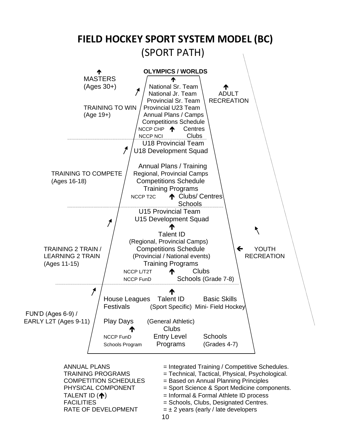

RATE OF DEVELOPMENT  $= \pm 2$  years (early / late developers

- ANNUAL PLANS  $=$  Integrated Training / Competitive Schedules.
- TRAINING PROGRAMS = Technical, Tactical, Physical, Psychological.
- COMPETITION SCHEDULES = Based on Annual Planning Principles
- PHYSICAL COMPONENT = Sport Science & Sport Medicine components.
- TALENT ID  $(\bigwedge)$  = Informal & Formal Athlete ID process
- FACILITIES = Schools, Clubs, Designated Centres.
	-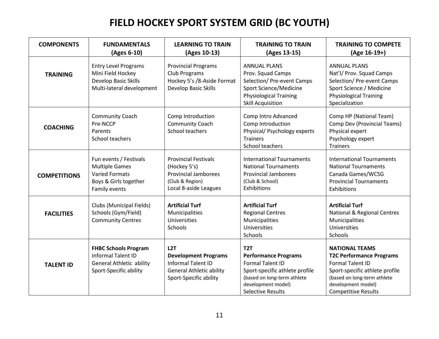### **FIELD HOCKEY SPORT SYSTEM GRID (BC YOUTH)**

| <b>COMPONENTS</b>   | <b>FUNDAMENTALS</b><br>(Ages 6-10)                                                                                    | <b>LEARNING TO TRAIN</b><br>(Ages 10-13)                                                                                     | <b>TRAINING TO TRAIN</b><br>(Ages 13-15)                                                                                                                                                      | <b>TRAINING TO COMPETE</b><br>(Age 16-19+)                                                                                                                                                               |
|---------------------|-----------------------------------------------------------------------------------------------------------------------|------------------------------------------------------------------------------------------------------------------------------|-----------------------------------------------------------------------------------------------------------------------------------------------------------------------------------------------|----------------------------------------------------------------------------------------------------------------------------------------------------------------------------------------------------------|
| <b>TRAINING</b>     | <b>Entry Level Programs</b><br>Mini Field Hockey<br>Develop Basic Skills<br>Multi-lateral development                 | <b>Provincial Programs</b><br>Club Programs<br>Hockey 5's /8-Aside Format<br>Develop Basic Skills                            | <b>ANNUAL PLANS</b><br>Prov. Squad Camps<br>Selection/ Pre-event Camps<br>Sport Science/Medicine<br><b>Physiological Training</b><br><b>Skill Acquisition</b>                                 | <b>ANNUAL PLANS</b><br>Nat'l/ Prov. Squad Camps<br>Selection/ Pre-event Camps<br>Sport Science / Medicine<br><b>Physiological Training</b><br>Specialization                                             |
| <b>COACHING</b>     | <b>Community Coach</b><br>Pre-NCCP<br>Parents<br>School teachers                                                      | Comp Introduction<br>Community Coach<br>School teachers                                                                      | Comp Intro Advanced<br>Comp Introduction<br>Physical/ Psychology experts<br><b>Trainers</b><br>School teachers                                                                                | Comp HP (National Team)<br>Comp Dev (Provincial Teams)<br>Physical expert<br>Psychology expert<br><b>Trainers</b>                                                                                        |
| <b>COMPETITIONS</b> | Fun events / Festivals<br><b>Multiple Games</b><br><b>Varied Formats</b><br>Boys & Girls together<br>Family events    | <b>Provincial Festivals</b><br>(Hockey 5's)<br><b>Provincial Jamborees</b><br>(Club & Region)<br>Local 8-aside Leagues       | <b>International Tournaments</b><br><b>National Tournaments</b><br><b>Provincial Jamborees</b><br>(Club & School)<br>Exhibitions                                                              | <b>International Tournaments</b><br><b>National Tournaments</b><br>Canada Games/WCSG<br><b>Provincial Tournaments</b><br>Exhibitions                                                                     |
| <b>FACILITIES</b>   | Clubs (Municipal Fields)<br>Schools (Gym/Field)<br><b>Community Centres</b>                                           | <b>Artificial Turf</b><br>Municipalities<br>Universities<br>Schools                                                          | <b>Artificial Turf</b><br><b>Regional Centres</b><br>Municipalities<br>Universities<br>Schools                                                                                                | <b>Artificial Turf</b><br><b>National &amp; Regional Centres</b><br>Municipalities<br>Universities<br>Schools                                                                                            |
| <b>TALENT ID</b>    | <b>FHBC Schools Program</b><br><b>Informal Talent ID</b><br><b>General Athletic ability</b><br>Sport-Specific ability | L2T<br><b>Development Programs</b><br><b>Informal Talent ID</b><br><b>General Athletic ability</b><br>Sport-Specific ability | T <sub>2</sub> T<br><b>Performance Programs</b><br><b>Formal Talent ID</b><br>Sport-specific athlete profile<br>(based on long-term athlete<br>development model)<br><b>Selective Results</b> | <b>NATIONAL TEAMS</b><br><b>T2C Performance Programs</b><br><b>Formal Talent ID</b><br>Sport-specific athlete profile<br>(based on long-term athlete<br>development model)<br><b>Competitive Results</b> |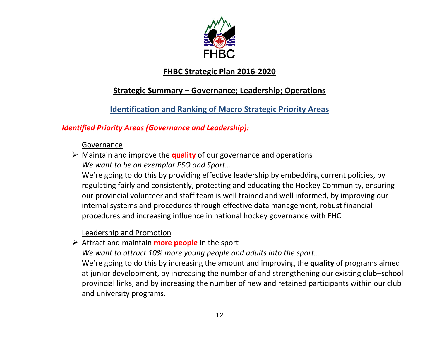

### **FHBC Strategic Plan 2016-2020**

### **Strategic Summary – Governance; Leadership; Operations**

### **Identification and Ranking of Macro Strategic Priority Areas**

### *Identified Priority Areas (Governance and Leadership):*

#### Governance

➢ Maintain and improve the **quality** of our governance and operations *We want to be an exemplar PSO and Sport…*

We're going to do this by providing effective leadership by embedding current policies, by regulating fairly and consistently, protecting and educating the Hockey Community, ensuring our provincial volunteer and staff team is well trained and well informed, by improving our internal systems and procedures through effective data management, robust financial procedures and increasing influence in national hockey governance with FHC.

### Leadership and Promotion

➢ Attract and maintain **more people** in the sport

*We want to attract 10% more young people and adults into the sport...*

We're going to do this by increasing the amount and improving the **quality** of programs aimed at junior development, by increasing the number of and strengthening our existing club–schoolprovincial links, and by increasing the number of new and retained participants within our club and university programs.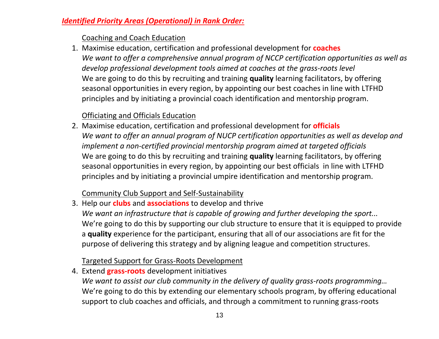#### *Identified Priority Areas (Operational) in Rank Order:*

#### Coaching and Coach Education

1. Maximise education, certification and professional development for **coaches** *We want to offer a comprehensive annual program of NCCP certification opportunities as well as develop professional development tools aimed at coaches at the grass-roots level*  We are going to do this by recruiting and training **quality** learning facilitators, by offering seasonal opportunities in every region, by appointing our best coaches in line with LTFHD principles and by initiating a provincial coach identification and mentorship program.

### Officiating and Officials Education

2. Maximise education, certification and professional development for **officials** *We want to offer an annual program of NUCP certification opportunities as well as develop and implement a non-certified provincial mentorship program aimed at targeted officials* We are going to do this by recruiting and training **quality** learning facilitators, by offering seasonal opportunities in every region, by appointing our best officials in line with LTFHD principles and by initiating a provincial umpire identification and mentorship program.

#### Community Club Support and Self-Sustainability

3. Help our **clubs** and **associations** to develop and thrive *We want an infrastructure that is capable of growing and further developing the sport...* We're going to do this by supporting our club structure to ensure that it is equipped to provide a **quality** experience for the participant, ensuring that all of our associations are fit for the purpose of delivering this strategy and by aligning league and competition structures.

### Targeted Support for Grass-Roots Development

4. Extend **grass-roots** development initiatives *We want to assist our club community in the delivery of quality grass-roots programming…* We're going to do this by extending our elementary schools program, by offering educational support to club coaches and officials, and through a commitment to running grass-roots